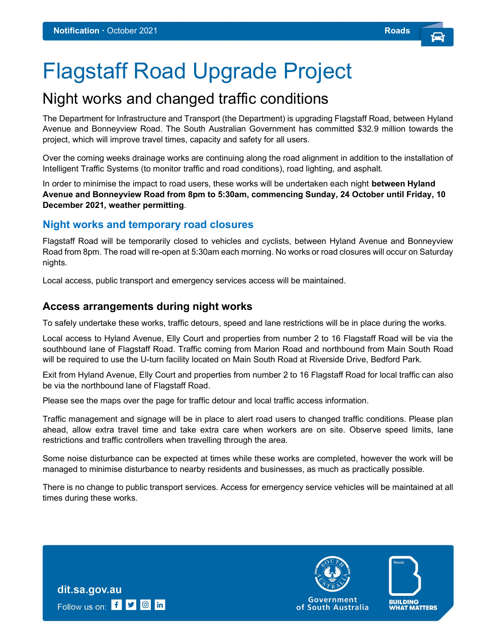# Flagstaff Road Upgrade Project

# Night works and changed traffic conditions

The Department for Infrastructure and Transport (the Department) is upgrading Flagstaff Road, between Hyland Avenue and Bonneyview Road. The South Australian Government has committed \$32.9 million towards the project, which will improve travel times, capacity and safety for all users.

Over the coming weeks drainage works are continuing along the road alignment in addition to the installation of Intelligent Traffic Systems (to monitor traffic and road conditions), road lighting, and asphalt.

In order to minimise the impact to road users, these works will be undertaken each night **between Hyland** Avenue and Bonneyview Road from 8pm to 5:30am, commencing Sunday, 24 October until Friday, 10 December 2021, weather permitting.

## Night works and temporary road closures

Flagstaff Road will be temporarily closed to vehicles and cyclists, between Hyland Avenue and Bonneyview Road from 8pm. The road will re-open at 5:30am each morning. No works or road closures will occur on Saturday nights.

Local access, public transport and emergency services access will be maintained.

#### Access arrangements during night works

dit.sa.gov.au

Follow us on: f v o in

To safely undertake these works, traffic detours, speed and lane restrictions will be in place during the works.

Local access to Hyland Avenue, Elly Court and properties from number 2 to 16 Flagstaff Road will be via the southbound lane of Flagstaff Road. Traffic coming from Marion Road and northbound from Main South Road will be required to use the U-turn facility located on Main South Road at Riverside Drive, Bedford Park.

Exit from Hyland Avenue, Elly Court and properties from number 2 to 16 Flagstaff Road for local traffic can also be via the northbound lane of Flagstaff Road.

Please see the maps over the page for traffic detour and local traffic access information.

Traffic management and signage will be in place to alert road users to changed traffic conditions. Please plan ahead, allow extra travel time and take extra care when workers are on site. Observe speed limits, lane restrictions and traffic controllers when travelling through the area.

Some noise disturbance can be expected at times while these works are completed, however the work will be managed to minimise disturbance to nearby residents and businesses, as much as practically possible.

There is no change to public transport services. Access for emergency service vehicles will be maintained at all times during these works.

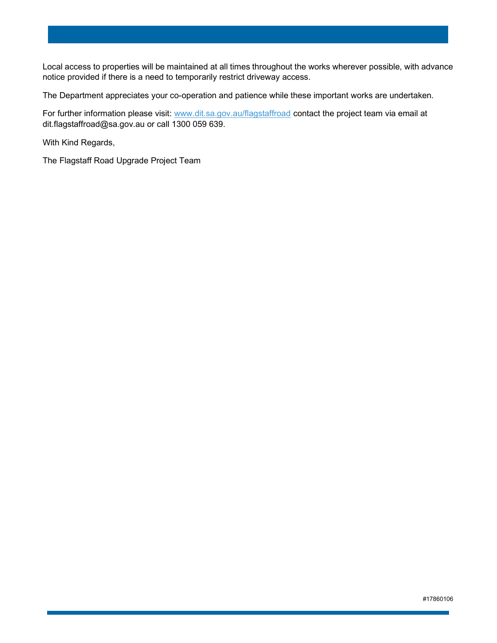Local access to properties will be maintained at all times throughout the works wherever possible, with advance notice provided if there is a need to temporarily restrict driveway access.

The Department appreciates your co-operation and patience while these important works are undertaken.

For further information please visit: www.dit.sa.gov.au/flagstaffroad contact the project team via email at dit.flagstaffroad@sa.gov.au or call 1300 059 639.

With Kind Regards,

The Flagstaff Road Upgrade Project Team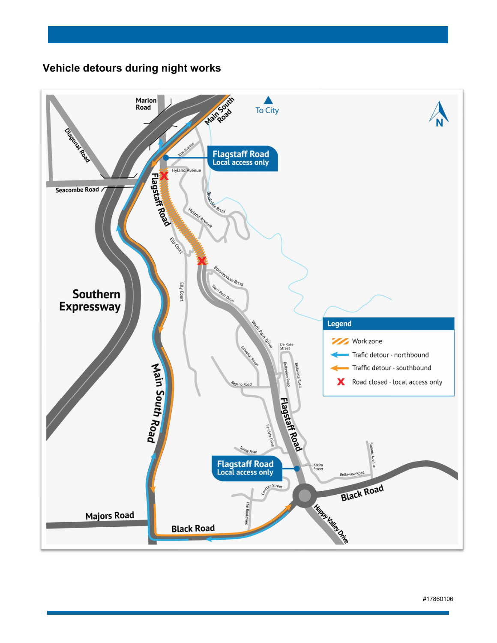# Vehicle detours during night works